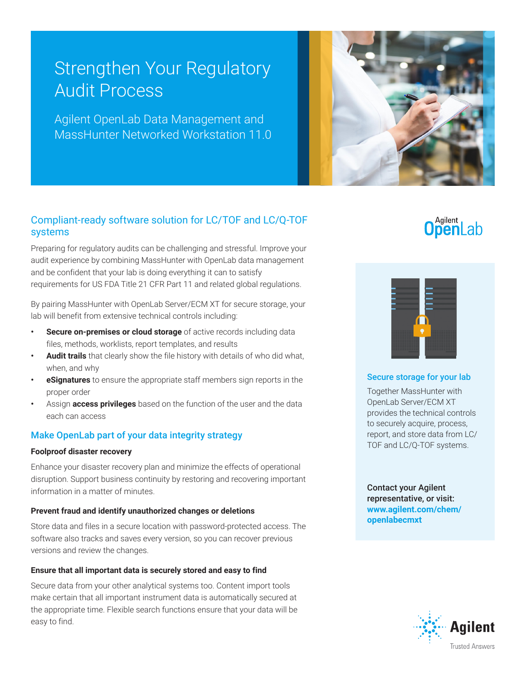# Strengthen Your Regulatory Audit Process

Agilent OpenLab Data Management and MassHunter Networked Workstation 11.0



## Compliant-ready software solution for LC/TOF and LC/Q-TOF systems

Preparing for regulatory audits can be challenging and stressful. Improve your audit experience by combining MassHunter with OpenLab data management and be confident that your lab is doing everything it can to satisfy requirements for US FDA Title 21 CFR Part 11 and related global regulations.

By pairing MassHunter with OpenLab Server/ECM XT for secure storage, your lab will benefit from extensive technical controls including:

- **Secure on-premises or cloud storage** of active records including data files, methods, worklists, report templates, and results
- **• Audit trails** that clearly show the file history with details of who did what, when, and why
- **• eSignatures** to ensure the appropriate staff members sign reports in the proper order
- **•** Assign **access privileges** based on the function of the user and the data each can access

### Make OpenLab part of your data integrity strategy

#### **Foolproof disaster recovery**

Enhance your disaster recovery plan and minimize the effects of operational disruption. Support business continuity by restoring and recovering important information in a matter of minutes.

#### **Prevent fraud and identify unauthorized changes or deletions**

Store data and files in a secure location with password-protected access. The software also tracks and saves every version, so you can recover previous versions and review the changes.

#### **Ensure that all important data is securely stored and easy to find**

Secure data from your other analytical systems too. Content import tools make certain that all important instrument data is automatically secured at the appropriate time. Flexible search functions ensure that your data will be easy to find.

# **OpenLab**



#### Secure storage for your lab

Together MassHunter with OpenLab Server/ECM XT provides the technical controls to securely acquire, process, report, and store data from LC/ TOF and LC/Q-TOF systems.

#### Contact your Agilent representative, or visit: **www.agilent.com/chem/ openlabecmxt**